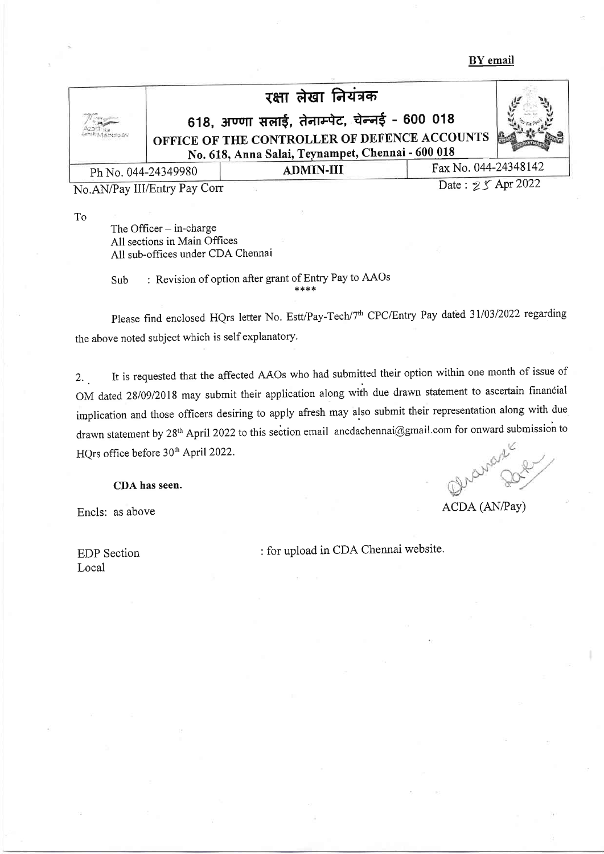BY email

|                     | रक्षा लेखा नियंत्रक                                                                               |                  |                      |  |
|---------------------|---------------------------------------------------------------------------------------------------|------------------|----------------------|--|
|                     | 618, अण्णा सलाई, तेनाम्पेट, चेन्नई - 600 018                                                      |                  |                      |  |
|                     | OFFICE OF THE CONTROLLER OF DEFENCE ACCOUNTS<br>No. 618, Anna Salai, Teynampet, Chennai - 600 018 |                  |                      |  |
|                     |                                                                                                   |                  |                      |  |
| Ph No. 044-24349980 |                                                                                                   | <b>ADMIN-III</b> | Fax No. 044-24348142 |  |
|                     |                                                                                                   |                  |                      |  |

No.AN/Pay III/Entry Pay Corr

Date: 25 Apr 2022

To

The Officer  $-$  in-charge All sections in Main Offices All sub-offices under CDA Chennai

Sub : Revision of option after grant of Entry Pay to AAOs \*r<r<\*

Please find enclosed HQrs letter No. Estt/Pay-Tech/7<sup>th</sup> CPC/Entry Pay dated 31/03/2022 regarding the above noted subject which is self explanatory.

2. . It is requested that the affected AAOs who had submitted their option within one month of issue of OM dated 28/09/2018 may submit their application along with due drawn statement to ascertain financial implication and those officers desiring to apply afresh may also submit their representation along with due drawn statement by 28<sup>th</sup> April 2022 to this section email ancdachennai@gmail.com for onward submission to<br>HQrs office before 30<sup>th</sup> April 2022.<br>**CDA has seen.**<br>**CDA has seen.** HQrs office before 30<sup>th</sup> April 2022.

CDA has seen.

Encls: as above ACDA (AN/Pay)

Local

EDP Section : for upload in CDA Chennai website.